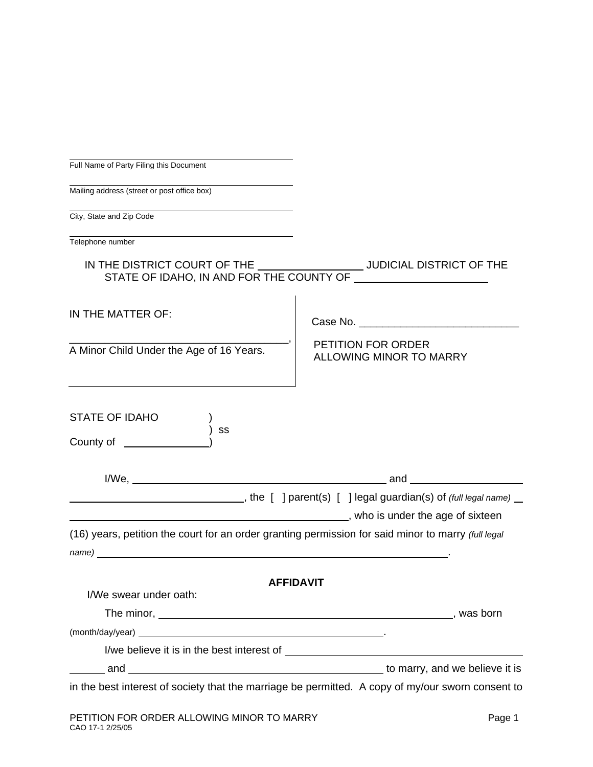| Full Name of Party Filing this Document                                                                                                                                                                                                                                                                                              |                                                                                                   |
|--------------------------------------------------------------------------------------------------------------------------------------------------------------------------------------------------------------------------------------------------------------------------------------------------------------------------------------|---------------------------------------------------------------------------------------------------|
| Mailing address (street or post office box)                                                                                                                                                                                                                                                                                          |                                                                                                   |
| City, State and Zip Code                                                                                                                                                                                                                                                                                                             |                                                                                                   |
| Telephone number                                                                                                                                                                                                                                                                                                                     |                                                                                                   |
|                                                                                                                                                                                                                                                                                                                                      |                                                                                                   |
| IN THE MATTER OF:                                                                                                                                                                                                                                                                                                                    |                                                                                                   |
| A Minor Child Under the Age of 16 Years.                                                                                                                                                                                                                                                                                             | PETITION FOR ORDER<br>ALLOWING MINOR TO MARRY                                                     |
| <b>STATE OF IDAHO</b><br>SS<br>County of _                                                                                                                                                                                                                                                                                           |                                                                                                   |
|                                                                                                                                                                                                                                                                                                                                      |                                                                                                   |
|                                                                                                                                                                                                                                                                                                                                      | Mo is under the age of sixteen by the same state of sixteen and the same state of sixteen         |
| (16) years, petition the court for an order granting permission for said minor to marry (full legal<br>name) and the contract of the contract of the contract of the contract of the contract of the contract of the contract of the contract of the contract of the contract of the contract of the contract of the contract of the |                                                                                                   |
|                                                                                                                                                                                                                                                                                                                                      | <b>AFFIDAVIT</b>                                                                                  |
| I/We swear under oath:                                                                                                                                                                                                                                                                                                               |                                                                                                   |
|                                                                                                                                                                                                                                                                                                                                      |                                                                                                   |
|                                                                                                                                                                                                                                                                                                                                      |                                                                                                   |
|                                                                                                                                                                                                                                                                                                                                      |                                                                                                   |
|                                                                                                                                                                                                                                                                                                                                      |                                                                                                   |
|                                                                                                                                                                                                                                                                                                                                      | in the best interest of society that the marriage be permitted. A copy of my/our sworn consent to |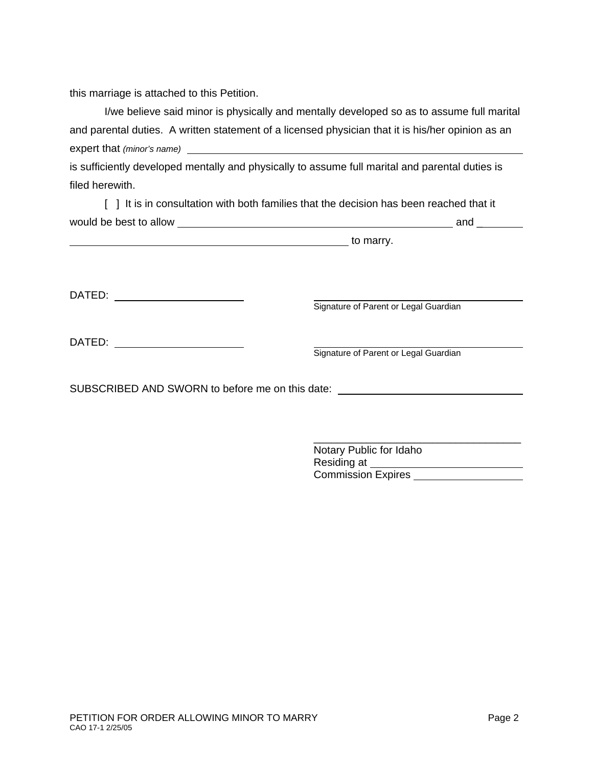this marriage is attached to this Petition.

| I/we believe said minor is physically and mentally developed so as to assume full marital         |  |
|---------------------------------------------------------------------------------------------------|--|
| and parental duties. A written statement of a licensed physician that it is his/her opinion as an |  |
| expert that (minor's name)                                                                        |  |

is sufficiently developed mentally and physically to assume full marital and parental duties is filed herewith.

|                        | [ ] It is in consultation with both families that the decision has been reached that it |     |
|------------------------|-----------------------------------------------------------------------------------------|-----|
| would be best to allow |                                                                                         | and |

to marry.

DATED: <u>Signature of Parent or Legal Guardian</u>

| DATED: |  |
|--------|--|
|        |  |

**Example 2**<br> **DATE:** Signature of Parent or Legal Guardian

\_\_\_\_\_\_\_\_\_\_\_\_\_\_\_\_\_\_\_\_\_\_\_\_\_\_\_\_\_\_\_\_\_\_\_

SUBSCRIBED AND SWORN to before me on this date: \_\_\_\_\_\_\_\_\_\_\_\_\_\_\_\_\_\_\_\_\_\_\_\_\_\_\_\_\_\_\_\_

 Notary Public for Idaho Residing at Commission Expires